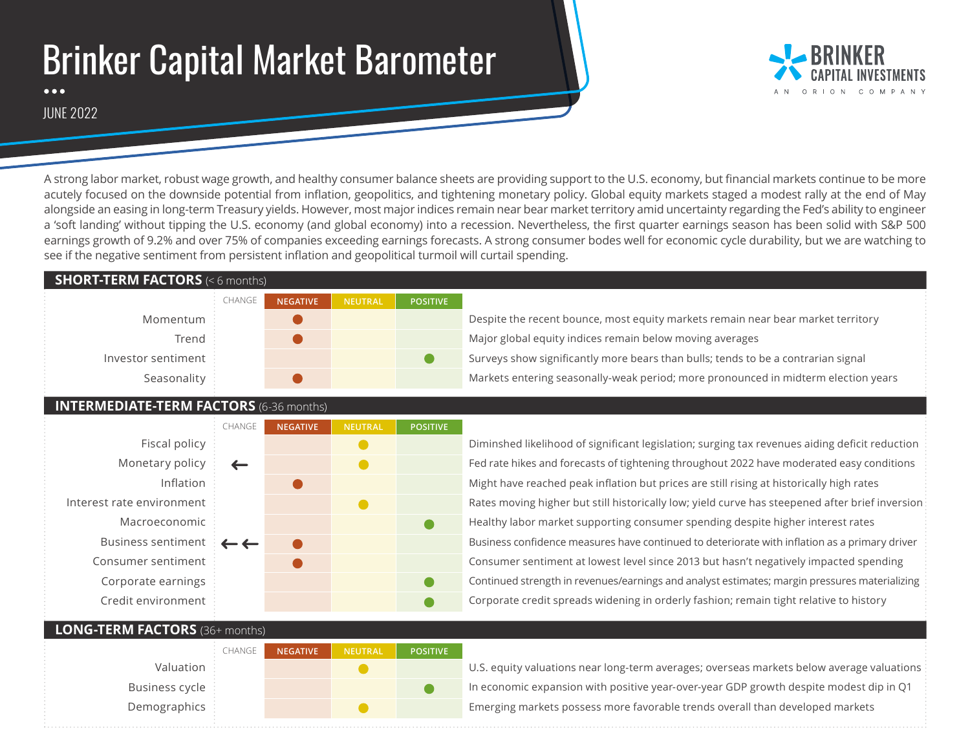# Brinker Capital Market Barometer



JUNE 2022

A strong labor market, robust wage growth, and healthy consumer balance sheets are providing support to the U.S. economy, but financial markets continue to be more acutely focused on the downside potential from inflation, geopolitics, and tightening monetary policy. Global equity markets staged a modest rally at the end of May alongside an easing in long-term Treasury yields. However, most major indices remain near bear market territory amid uncertainty regarding the Fed's ability to engineer a 'soft landing' without tipping the U.S. economy (and global economy) into a recession. Nevertheless, the first quarter earnings season has been solid with S&P 500 earnings growth of 9.2% and over 75% of companies exceeding earnings forecasts. A strong consumer bodes well for economic cycle durability, but we are watching to see if the negative sentiment from persistent inflation and geopolitical turmoil will curtail spending.

#### **SHORT-TERM FACTORS** (< 6 months)

|                    | $\vdots$ CHANGE | <b>NEGATIVE</b> | NEUTRAL | <b>POSITIVE</b> |
|--------------------|-----------------|-----------------|---------|-----------------|
| Momentum           |                 |                 |         |                 |
| Trend :            |                 |                 |         |                 |
| Investor sentiment |                 |                 |         |                 |
| Seasonality        |                 |                 |         |                 |

### **INTERMEDIATE-TERM FACTORS** (6-36 months)

|                           | CHANGE       | <b>NEGATIVE</b> | <b>NEUTRAL</b> | <b>POSITIVE</b> |
|---------------------------|--------------|-----------------|----------------|-----------------|
| Fiscal policy             |              |                 |                |                 |
| Monetary policy           |              |                 |                |                 |
| Inflation                 |              |                 |                |                 |
| Interest rate environment |              |                 |                |                 |
| Macroeconomic             |              |                 |                |                 |
| <b>Business sentiment</b> | $\leftarrow$ |                 |                |                 |
| Consumer sentiment        |              |                 |                |                 |
| Corporate earnings        |              |                 |                |                 |
| Credit environment        |              |                 |                |                 |
|                           |              |                 |                |                 |

CHANGE

Diminshed likelihood of significant legislation; surging tax revenues aiding deficit reduction Fed rate hikes and forecasts of tightening throughout 2022 have moderated easy conditions Might have reached peak inflation but prices are still rising at historically high rates Rates moving higher but still historically low; yield curve has steepened after brief inversion Healthy labor market supporting consumer spending despite higher interest rates Business confidence measures have continued to deteriorate with inflation as a primary driver Consumer sentiment at lowest level since 2013 but hasn't negatively impacted spending Continued strength in revenues/earnings and analyst estimates; margin pressures materializing Corporate credit spreads widening in orderly fashion; remain tight relative to history

#### **LONG-TERM FACTORS** (36+ months)

Valuation Business cycle Demographics

| <b>NEGATIVE</b> | <b>NEUTRAL</b> | <b>POSITIVE</b> |
|-----------------|----------------|-----------------|
|                 |                |                 |
|                 |                |                 |
|                 |                |                 |

U.S. equity valuations near long-term averages; overseas markets below average valuations In economic expansion with positive year-over-year GDP growth despite modest dip in Q1 Emerging markets possess more favorable trends overall than developed markets